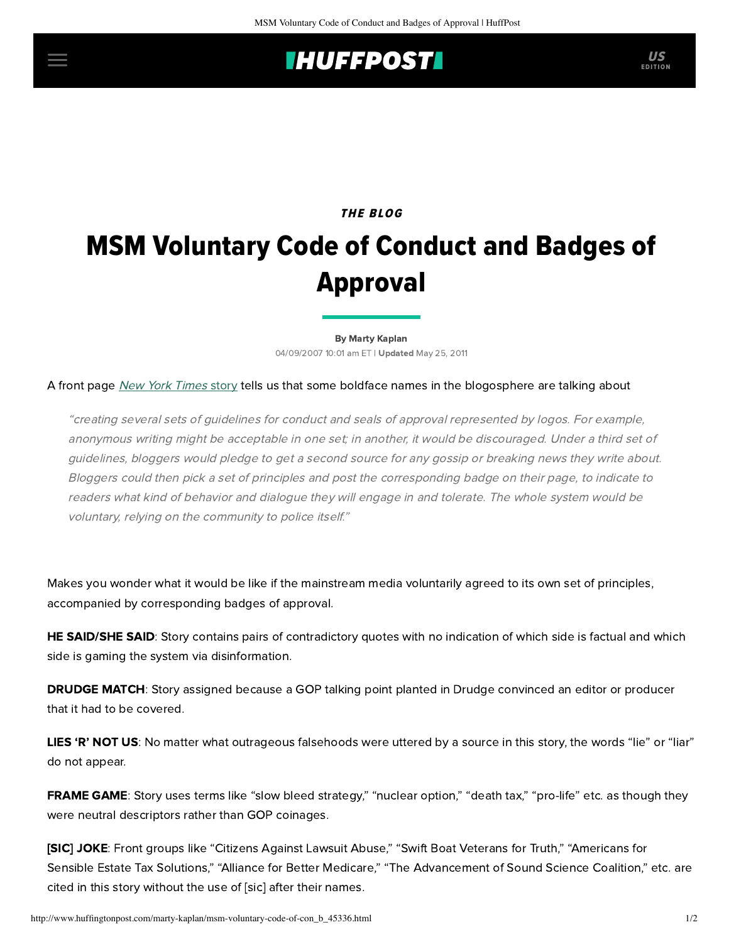## **IHUFFPOSTI** US

## THE BLOG MSM Voluntary Code of Conduct and Badges of Approval

[By Marty Kaplan](http://www.huffingtonpost.com/author/marty-kaplan) 04/09/2007 10:01 am ET | Updated May 25, 2011

## A front page [New York](http://www.nytimes.com/2007/04/09/technology/09blog.html?_r=1&hp&oref=slogin) Times story tells us that some boldface names in the blogosphere are talking about

"creating several sets of guidelines for conduct and seals of approval represented by logos. For example, anonymous writing might be acceptable in one set; in another, it would be discouraged. Under a third set of guidelines, bloggers would pledge to get a second source for any gossip or breaking news they write about. Bloggers could then pick a set of principles and post the corresponding badge on their page, to indicate to readers what kind of behavior and dialogue they will engage in and tolerate. The whole system would be voluntary, relying on the community to police itself."

Makes you wonder what it would be like if the mainstream media voluntarily agreed to its own set of principles, accompanied by corresponding badges of approval.

HE SAID/SHE SAID: Story contains pairs of contradictory quotes with no indication of which side is factual and which side is gaming the system via disinformation.

**DRUDGE MATCH:** Story assigned because a GOP talking point planted in Drudge convinced an editor or producer that it had to be covered.

LIES 'R' NOT US: No matter what outrageous falsehoods were uttered by a source in this story, the words "lie" or "liar" do not appear.

FRAME GAME: Story uses terms like "slow bleed strategy," "nuclear option," "death tax," "pro-life" etc. as though they were neutral descriptors rather than GOP coinages.

[SIC] JOKE: Front groups like "Citizens Against Lawsuit Abuse," "Swift Boat Veterans for Truth," "Americans for Sensible Estate Tax Solutions," "Alliance for Better Medicare," "The Advancement of Sound Science Coalition," etc. are cited in this story without the use of [sic] after their names.